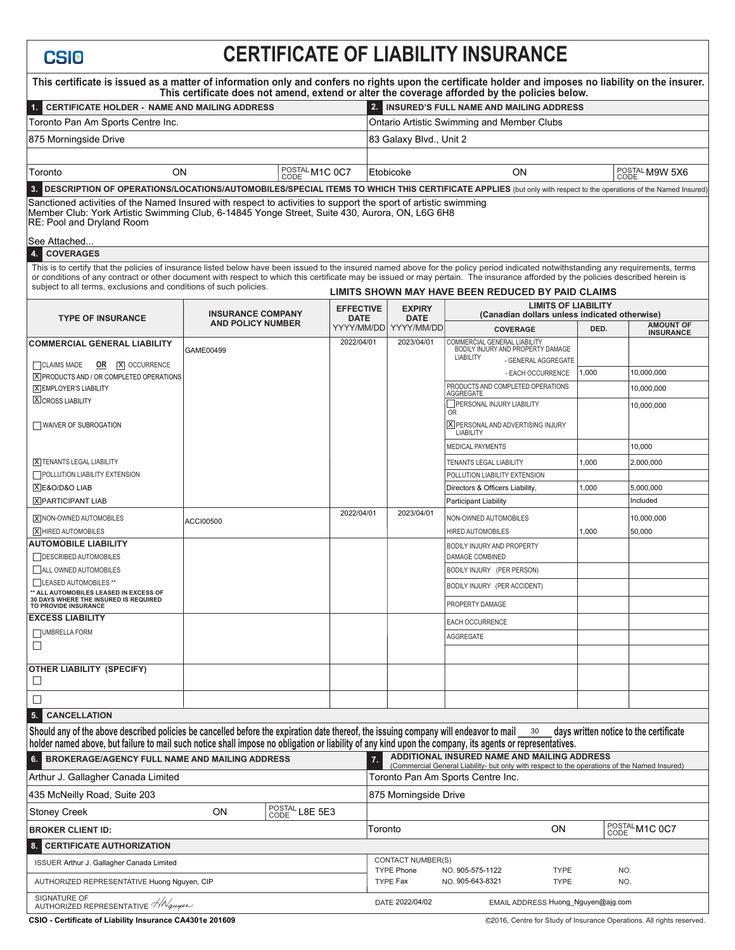## **CERTIFICATE OF LIABILITY INSURANCE**

| This certificate is issued as a matter of information only and confers no rights upon the certificate holder and imposes no liability on the insurer.                                                                                                                                                                                                                                                                                            |                          |  |                                 |                                                                                                                          |                                                                                                                                             | This certificate does not amend, extend or alter the coverage afforded by the policies below.                                                                                                                                                                                                                                                       |                |                                                                             |  |
|--------------------------------------------------------------------------------------------------------------------------------------------------------------------------------------------------------------------------------------------------------------------------------------------------------------------------------------------------------------------------------------------------------------------------------------------------|--------------------------|--|---------------------------------|--------------------------------------------------------------------------------------------------------------------------|---------------------------------------------------------------------------------------------------------------------------------------------|-----------------------------------------------------------------------------------------------------------------------------------------------------------------------------------------------------------------------------------------------------------------------------------------------------------------------------------------------------|----------------|-----------------------------------------------------------------------------|--|
| 1. CERTIFICATE HOLDER - NAME AND MAILING ADDRESS                                                                                                                                                                                                                                                                                                                                                                                                 |                          |  |                                 | 2. INSURED'S FULL NAME AND MAILING ADDRESS                                                                               |                                                                                                                                             |                                                                                                                                                                                                                                                                                                                                                     |                |                                                                             |  |
| Toronto Pan Am Sports Centre Inc.                                                                                                                                                                                                                                                                                                                                                                                                                |                          |  |                                 |                                                                                                                          | <b>Ontario Artistic Swimming and Member Clubs</b>                                                                                           |                                                                                                                                                                                                                                                                                                                                                     |                |                                                                             |  |
| 875 Morningside Drive                                                                                                                                                                                                                                                                                                                                                                                                                            |                          |  |                                 | 83 Galaxy Blvd., Unit 2                                                                                                  |                                                                                                                                             |                                                                                                                                                                                                                                                                                                                                                     |                |                                                                             |  |
|                                                                                                                                                                                                                                                                                                                                                                                                                                                  |                          |  |                                 |                                                                                                                          |                                                                                                                                             |                                                                                                                                                                                                                                                                                                                                                     |                |                                                                             |  |
| Toronto<br>ΟN                                                                                                                                                                                                                                                                                                                                                                                                                                    |                          |  | POSTAL M1C 0C7                  |                                                                                                                          | Etobicoke                                                                                                                                   | <b>ON</b>                                                                                                                                                                                                                                                                                                                                           |                | POSTAL M9W 5X6<br>CODE                                                      |  |
| DESCRIPTION OF OPERATIONS/LOCATIONS/AUTOMOBILES/SPECIAL ITEMS TO WHICH THIS CERTIFICATE APPLIES (but only with respect to the operations of the Named Insured)<br>3.<br>Sanctioned activities of the Named Insured with respect to activities to support the sport of artistic swimming<br>Member Club: York Artistic Swimming Club, 6-14845 Yonge Street, Suite 430, Aurora, ON, L6G 6H8<br>RE: Pool and Dryland Room                           |                          |  |                                 |                                                                                                                          |                                                                                                                                             |                                                                                                                                                                                                                                                                                                                                                     |                |                                                                             |  |
| See Attached<br><b>COVERAGES</b>                                                                                                                                                                                                                                                                                                                                                                                                                 |                          |  |                                 |                                                                                                                          |                                                                                                                                             |                                                                                                                                                                                                                                                                                                                                                     |                |                                                                             |  |
| 4.<br>This is to certify that the policies of insurance listed below have been issued to the insured named above for the policy period indicated notwithstanding any requirements, terms<br>or conditions of any contract or other document with respect to which this certificate may be issued or may pertain. The insurance afforded by the policies described herein is<br>subject to all terms, exclusions and conditions of such policies. |                          |  |                                 |                                                                                                                          |                                                                                                                                             | LIMITS SHOWN MAY HAVE BEEN REDUCED BY PAID CLAIMS                                                                                                                                                                                                                                                                                                   |                |                                                                             |  |
| <b>TYPE OF INSURANCE</b>                                                                                                                                                                                                                                                                                                                                                                                                                         | <b>INSURANCE COMPANY</b> |  | <b>EFFECTIVE</b><br><b>DATE</b> |                                                                                                                          | <b>EXPIRY</b><br><b>DATE</b>                                                                                                                |                                                                                                                                                                                                                                                                                                                                                     |                | <b>LIMITS OF LIABILITY</b><br>(Canadian dollars unless indicated otherwise) |  |
|                                                                                                                                                                                                                                                                                                                                                                                                                                                  | <b>AND POLICY NUMBER</b> |  |                                 |                                                                                                                          | YYYY/MM/DD  YYYY/MM/DD                                                                                                                      | <b>COVERAGE</b>                                                                                                                                                                                                                                                                                                                                     | DED.           | <b>AMOUNT OF</b><br><b>INSURANCE</b>                                        |  |
| <b>COMMERCIAL GENERAL LIABILITY</b><br>CLAIMS MADE<br><b>OR X</b> OCCURRENCE<br><b>X PRODUCTS AND / OR COMPLETED OPERATIONS</b><br><b>X EMPLOYER'S LIABILITY</b><br><b>X</b> CROSS LIABILITY<br>WAIVER OF SUBROGATION<br><b>X TENANTS LEGAL LIABILITY</b>                                                                                                                                                                                        | GAME00499                |  | 2022/04/01                      |                                                                                                                          | 2023/04/01                                                                                                                                  | COMMERCIAL GENERAL LIABILITY<br>BODILY INJURY AND PROPERTY DAMAGE<br><b>LIABILITY</b><br>- GENERAL AGGREGATE<br>- EACH OCCURRENCE<br>PRODUCTS AND COMPLETED OPERATIONS<br><b>AGGREGATE</b><br>PERSONAL INJURY LIABILITY<br><b>OR</b><br>X PERSONAL AND ADVERTISING INJURY<br><b>LIABILITY</b><br><b>MEDICAL PAYMENTS</b><br>TENANTS LEGAL LIABILITY | 1,000<br>1,000 | 10,000,000<br>10,000,000<br>10,000,000<br>10,000<br>2,000,000               |  |
| POLLUTION LIABILITY EXTENSION                                                                                                                                                                                                                                                                                                                                                                                                                    |                          |  |                                 |                                                                                                                          |                                                                                                                                             | POLLUTION LIABILITY EXTENSION                                                                                                                                                                                                                                                                                                                       |                |                                                                             |  |
| XE&O/D&O LIAB                                                                                                                                                                                                                                                                                                                                                                                                                                    |                          |  |                                 |                                                                                                                          |                                                                                                                                             | Directors & Officers Liability,                                                                                                                                                                                                                                                                                                                     | 1,000          | 5,000,000                                                                   |  |
| <b>X PARTICIPANT LIAB</b>                                                                                                                                                                                                                                                                                                                                                                                                                        |                          |  |                                 |                                                                                                                          |                                                                                                                                             | Participant Liability                                                                                                                                                                                                                                                                                                                               |                | Included                                                                    |  |
| X NON-OWNED AUTOMOBILES<br>X HIRED AUTOMOBILES                                                                                                                                                                                                                                                                                                                                                                                                   | ACCI00500                |  | 2022/04/01                      |                                                                                                                          | 2023/04/01                                                                                                                                  | NON-OWNED AUTOMOBILES<br><b>HIRED AUTOMOBILES</b>                                                                                                                                                                                                                                                                                                   | 1,000          | 10,000,000<br>50,000                                                        |  |
| <b>AUTOMOBILE LIABILITY</b>                                                                                                                                                                                                                                                                                                                                                                                                                      |                          |  |                                 |                                                                                                                          |                                                                                                                                             | <b>BODILY INJURY AND PROPERTY</b>                                                                                                                                                                                                                                                                                                                   |                |                                                                             |  |
| <b>DESCRIBED AUTOMOBILES</b>                                                                                                                                                                                                                                                                                                                                                                                                                     |                          |  |                                 |                                                                                                                          |                                                                                                                                             | <b>DAMAGE COMBINED</b>                                                                                                                                                                                                                                                                                                                              |                |                                                                             |  |
| ALL OWNED AUTOMOBILES                                                                                                                                                                                                                                                                                                                                                                                                                            |                          |  |                                 |                                                                                                                          |                                                                                                                                             | BODILY INJURY (PER PERSON)                                                                                                                                                                                                                                                                                                                          |                |                                                                             |  |
| LEASED AUTOMOBILES **<br>** ALL AUTOMOBILES LEASED IN EXCESS OF                                                                                                                                                                                                                                                                                                                                                                                  |                          |  |                                 |                                                                                                                          |                                                                                                                                             | BODILY INJURY (PER ACCIDENT)                                                                                                                                                                                                                                                                                                                        |                |                                                                             |  |
| 30 DAYS WHERE THE INSURED IS REQUIRED<br>TO PROVIDE INSURANCE                                                                                                                                                                                                                                                                                                                                                                                    |                          |  |                                 |                                                                                                                          |                                                                                                                                             | <b>PROPERTY DAMAGE</b>                                                                                                                                                                                                                                                                                                                              |                |                                                                             |  |
| <b>EXCESS LIABILITY</b>                                                                                                                                                                                                                                                                                                                                                                                                                          |                          |  |                                 |                                                                                                                          |                                                                                                                                             | <b>EACH OCCURRENCE</b>                                                                                                                                                                                                                                                                                                                              |                |                                                                             |  |
| UMBRELLA FORM                                                                                                                                                                                                                                                                                                                                                                                                                                    |                          |  |                                 |                                                                                                                          |                                                                                                                                             | AGGREGATE                                                                                                                                                                                                                                                                                                                                           |                |                                                                             |  |
| $\Box$                                                                                                                                                                                                                                                                                                                                                                                                                                           |                          |  |                                 |                                                                                                                          |                                                                                                                                             |                                                                                                                                                                                                                                                                                                                                                     |                |                                                                             |  |
| <b>OTHER LIABILITY (SPECIFY)</b><br>$\Box$                                                                                                                                                                                                                                                                                                                                                                                                       |                          |  |                                 |                                                                                                                          |                                                                                                                                             |                                                                                                                                                                                                                                                                                                                                                     |                |                                                                             |  |
| $\Box$                                                                                                                                                                                                                                                                                                                                                                                                                                           |                          |  |                                 |                                                                                                                          |                                                                                                                                             |                                                                                                                                                                                                                                                                                                                                                     |                |                                                                             |  |
| 5.<br><b>CANCELLATION</b>                                                                                                                                                                                                                                                                                                                                                                                                                        |                          |  |                                 |                                                                                                                          |                                                                                                                                             |                                                                                                                                                                                                                                                                                                                                                     |                |                                                                             |  |
| Should any of the above described policies be cancelled before the expiration date thereof, the issuing company will endeavor to mail<br>holder named above, but failure to mail such notice shall impose no obligation or liability of any kind upon the company, its agents or representatives.                                                                                                                                                |                          |  |                                 |                                                                                                                          |                                                                                                                                             | 30                                                                                                                                                                                                                                                                                                                                                  |                | days written notice to the certificate                                      |  |
| <b>BROKERAGE/AGENCY FULL NAME AND MAILING ADDRESS</b><br>6.                                                                                                                                                                                                                                                                                                                                                                                      |                          |  |                                 | 7.                                                                                                                       | ADDITIONAL INSURED NAME AND MAILING ADDRESS<br>(Commercial General Liability- but only with respect to the operations of the Named Insured) |                                                                                                                                                                                                                                                                                                                                                     |                |                                                                             |  |
| Arthur J. Gallagher Canada Limited                                                                                                                                                                                                                                                                                                                                                                                                               |                          |  |                                 |                                                                                                                          | Toronto Pan Am Sports Centre Inc.                                                                                                           |                                                                                                                                                                                                                                                                                                                                                     |                |                                                                             |  |
| 435 McNeilly Road, Suite 203                                                                                                                                                                                                                                                                                                                                                                                                                     |                          |  |                                 |                                                                                                                          | 875 Morningside Drive                                                                                                                       |                                                                                                                                                                                                                                                                                                                                                     |                |                                                                             |  |
| POSTAL L8E 5E3<br>ON<br><b>Stoney Creek</b>                                                                                                                                                                                                                                                                                                                                                                                                      |                          |  |                                 |                                                                                                                          |                                                                                                                                             |                                                                                                                                                                                                                                                                                                                                                     |                |                                                                             |  |
| <b>BROKER CLIENT ID:</b>                                                                                                                                                                                                                                                                                                                                                                                                                         |                          |  |                                 | POSTAL M1C 0C7<br>ON<br>Toronto                                                                                          |                                                                                                                                             |                                                                                                                                                                                                                                                                                                                                                     |                |                                                                             |  |
| 8. CERTIFICATE AUTHORIZATION                                                                                                                                                                                                                                                                                                                                                                                                                     |                          |  |                                 |                                                                                                                          |                                                                                                                                             |                                                                                                                                                                                                                                                                                                                                                     |                |                                                                             |  |
| ISSUER Arthur J. Gallagher Canada Limited                                                                                                                                                                                                                                                                                                                                                                                                        |                          |  |                                 |                                                                                                                          | <b>CONTACT NUMBER(S)</b>                                                                                                                    |                                                                                                                                                                                                                                                                                                                                                     |                |                                                                             |  |
| AUTHORIZED REPRESENTATIVE Huong Nguyen, CIP                                                                                                                                                                                                                                                                                                                                                                                                      |                          |  |                                 | <b>TYPE Phone</b><br>NO. 905-575-1122<br><b>TYPE</b><br>NO.<br><b>TYPE Fax</b><br>NO. 905-643-8321<br><b>TYPE</b><br>NO. |                                                                                                                                             |                                                                                                                                                                                                                                                                                                                                                     |                |                                                                             |  |
| SIGNATURE OF<br>AUTHORIZED REPRESENTATIVE $\frac{\sqrt{N_{\text{gauge}}}}{N}$                                                                                                                                                                                                                                                                                                                                                                    |                          |  |                                 |                                                                                                                          | DATE 2022/04/02                                                                                                                             | EMAIL ADDRESS Huong_Nguyen@ajg.com                                                                                                                                                                                                                                                                                                                  |                |                                                                             |  |

**CSI<sub>O</sub>**